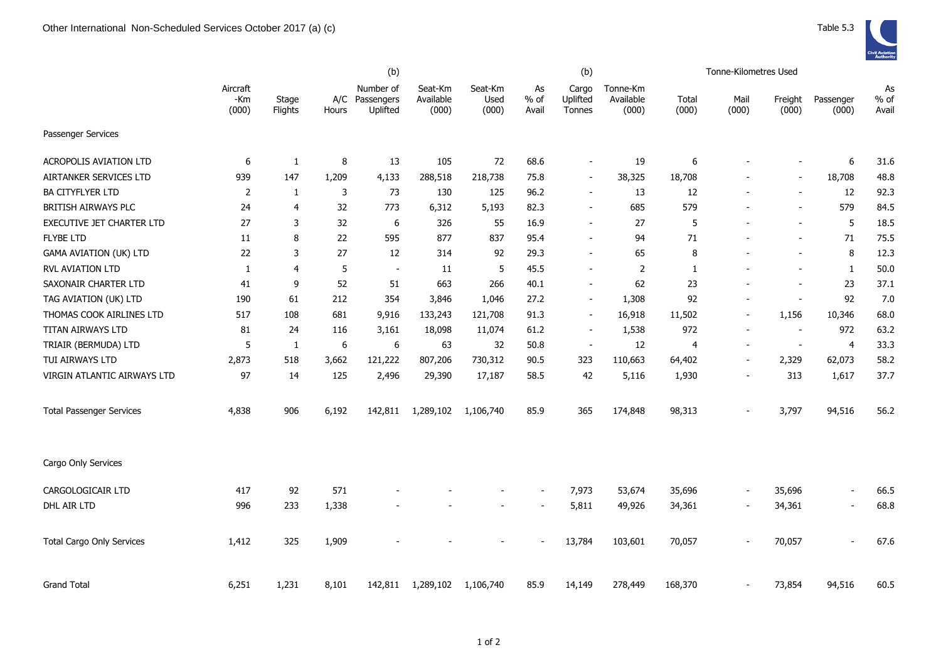|                                  |                          |                         |       | (b)                                     |                               |                          | (b)                      |                             |                                |                | Tonne-Kilometres Used    |                          |                          |                       |
|----------------------------------|--------------------------|-------------------------|-------|-----------------------------------------|-------------------------------|--------------------------|--------------------------|-----------------------------|--------------------------------|----------------|--------------------------|--------------------------|--------------------------|-----------------------|
|                                  | Aircraft<br>-Km<br>(000) | Stage<br><b>Flights</b> | Hours | Number of<br>A/C Passengers<br>Uplifted | Seat-Km<br>Available<br>(000) | Seat-Km<br>Used<br>(000) | As<br>% of<br>Avail      | Cargo<br>Uplifted<br>Tonnes | Tonne-Km<br>Available<br>(000) | Total<br>(000) | Mail<br>(000)            | Freight<br>(000)         | Passenger<br>(000)       | As<br>$%$ of<br>Avail |
| Passenger Services               |                          |                         |       |                                         |                               |                          |                          |                             |                                |                |                          |                          |                          |                       |
| <b>ACROPOLIS AVIATION LTD</b>    | 6                        | 1                       | 8     | 13                                      | 105                           | 72                       | 68.6                     | $\sim$                      | 19                             | 6              |                          | $\overline{\phantom{a}}$ | 6                        | 31.6                  |
| AIRTANKER SERVICES LTD           | 939                      | 147                     | 1,209 | 4,133                                   | 288,518                       | 218,738                  | 75.8                     | $\sim$                      | 38,325                         | 18,708         |                          | $\overline{\phantom{a}}$ | 18,708                   | 48.8                  |
| <b>BA CITYFLYER LTD</b>          | $\overline{2}$           | 1                       | 3     | 73                                      | 130                           | 125                      | 96.2                     | $\blacksquare$              | 13                             | 12             |                          |                          | 12                       | 92.3                  |
| BRITISH AIRWAYS PLC              | 24                       | $\overline{4}$          | 32    | 773                                     | 6,312                         | 5,193                    | 82.3                     |                             | 685                            | 579            |                          |                          | 579                      | 84.5                  |
| EXECUTIVE JET CHARTER LTD        | 27                       | 3                       | 32    | 6                                       | 326                           | 55                       | 16.9                     | $\overline{\phantom{a}}$    | 27                             | 5              |                          | $\overline{\phantom{a}}$ | 5                        | 18.5                  |
| <b>FLYBE LTD</b>                 | 11                       | 8                       | 22    | 595                                     | 877                           | 837                      | 95.4                     |                             | 94                             | 71             |                          |                          | 71                       | 75.5                  |
| <b>GAMA AVIATION (UK) LTD</b>    | 22                       | 3                       | 27    | 12                                      | 314                           | 92                       | 29.3                     | $\overline{\phantom{a}}$    | 65                             | 8              |                          | $\sim$                   | 8                        | 12.3                  |
| RVL AVIATION LTD                 | 1                        | $\overline{4}$          | 5     | $\overline{\phantom{a}}$                | 11                            | 5                        | 45.5                     | $\blacksquare$              | $\overline{2}$                 | 1              |                          |                          | $\mathbf{1}$             | 50.0                  |
| SAXONAIR CHARTER LTD             | 41                       | 9                       | 52    | 51                                      | 663                           | 266                      | 40.1                     | $\overline{\phantom{a}}$    | 62                             | 23             |                          |                          | 23                       | 37.1                  |
| TAG AVIATION (UK) LTD            | 190                      | 61                      | 212   | 354                                     | 3,846                         | 1,046                    | 27.2                     | $\blacksquare$              | 1,308                          | 92             | ÷,                       | $\overline{\phantom{a}}$ | 92                       | 7.0                   |
| THOMAS COOK AIRLINES LTD         | 517                      | 108                     | 681   | 9,916                                   | 133,243                       | 121,708                  | 91.3                     | $\overline{\phantom{a}}$    | 16,918                         | 11,502         | $\overline{a}$           | 1,156                    | 10,346                   | 68.0                  |
| TITAN AIRWAYS LTD                | 81                       | 24                      | 116   | 3,161                                   | 18,098                        | 11,074                   | 61.2                     | $\overline{\phantom{a}}$    | 1,538                          | 972            | $\overline{a}$           | $\overline{\phantom{a}}$ | 972                      | 63.2                  |
| TRIAIR (BERMUDA) LTD             | 5                        | 1                       | 6     | 6                                       | 63                            | 32                       | 50.8                     | $\sim$                      | 12                             | 4              | $\overline{a}$           | $\overline{\phantom{a}}$ | $\overline{4}$           | 33.3                  |
| TUI AIRWAYS LTD                  | 2,873                    | 518                     | 3,662 | 121,222                                 | 807,206                       | 730,312                  | 90.5                     | 323                         | 110,663                        | 64,402         | $\overline{a}$           | 2,329                    | 62,073                   | 58.2                  |
| VIRGIN ATLANTIC AIRWAYS LTD      | 97                       | 14                      | 125   | 2,496                                   | 29,390                        | 17,187                   | 58.5                     | 42                          | 5,116                          | 1,930          |                          | 313                      | 1,617                    | 37.7                  |
| <b>Total Passenger Services</b>  | 4,838                    | 906                     | 6,192 | 142,811                                 | 1,289,102                     | 1,106,740                | 85.9                     | 365                         | 174,848                        | 98,313         |                          | 3,797                    | 94,516                   | 56.2                  |
| Cargo Only Services              |                          |                         |       |                                         |                               |                          |                          |                             |                                |                |                          |                          |                          |                       |
| CARGOLOGICAIR LTD                | 417                      | 92                      | 571   |                                         |                               |                          | $\overline{\phantom{a}}$ | 7,973                       | 53,674                         | 35,696         | $\overline{\phantom{a}}$ | 35,696                   | $\blacksquare$           | 66.5                  |
| DHL AIR LTD                      | 996                      | 233                     | 1,338 |                                         |                               |                          |                          | 5,811                       | 49,926                         | 34,361         | $\overline{\phantom{a}}$ | 34,361                   | $\overline{\phantom{a}}$ | 68.8                  |
| <b>Total Cargo Only Services</b> | 1,412                    | 325                     | 1,909 |                                         |                               |                          |                          | 13,784                      | 103,601                        | 70,057         |                          | 70,057                   | $\sim$                   | 67.6                  |
| <b>Grand Total</b>               | 6,251                    | 1,231                   | 8,101 | 142,811                                 | 1,289,102                     | 1,106,740                | 85.9                     | 14,149                      | 278,449                        | 168,370        |                          | 73,854                   | 94,516                   | 60.5                  |